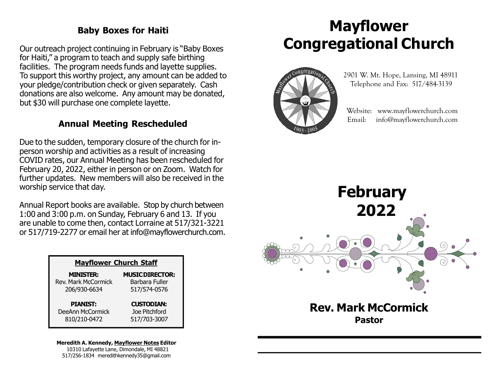### Baby Boxes for Haiti

Our outreach project continuing in February is "Baby Boxes for Haiti," a program to teach and supply safe birthing facilities. The program needs funds and layette supplies. To support this worthy project, any amount can be added to your pledge/contribution check or given separately. Cash donations are also welcome. Any amount may be donated, but \$30 will purchase one complete layette.

### Annual Meeting Rescheduled

Due to the sudden, temporary closure of the church for inperson worship and activities as a result of increasing COVID rates, our Annual Meeting has been rescheduled for February 20, 2022, either in person or on Zoom. Watch for further updates. New members will also be received in the worship service that day.

Annual Report books are available. Stop by church between 1:00 and 3:00 p.m. on Sunday, February 6 and 13. If you are unable to come then, contact Lorraine at 517/321-3221 or 517/719-2277 or email her at info@mayflowerchurch.com.

| <b>Mayflower Church Staff</b> |                        |
|-------------------------------|------------------------|
| <b>MINISTER:</b>              | <b>MUSIC DIRECTOR:</b> |
| <b>Rev. Mark McCormick</b>    | Barbara Fuller         |
| 206/930-6634                  | 517/574-0576           |
| <b>PIANIST:</b>               | <b>CUSTODIAN:</b>      |
| DeeAnn McCormick              | Joe Pitchford          |
| 810/210-0472                  | 517/703-3007           |

#### Meredith A. Kennedy, Mayflower Notes Editor 10310 Lafayette Lane, Dimondale, MI 48821

517/256-1834 meredithkennedy35@gmail.com

# Mayflower Congregational Church



 2901 W. Mt. Hope, Lansing, MI 48911 Telephone and Fax: 517/484-3139

 Website: www.mayflowerchurch.com Email: info@mayflowerchurch.com



Pastor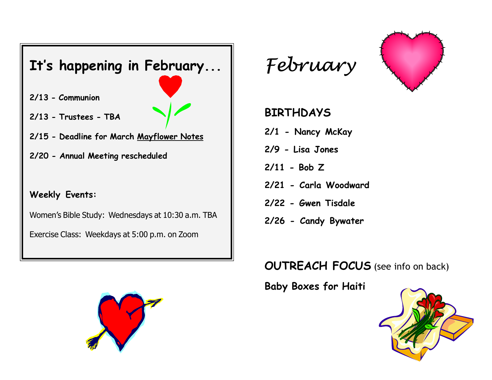





# BIRTHDAYS

- 2/1 Nancy McKay
- 2/9 Lisa Jones
- 2/11 Bob Z
- 2/21 Carla Woodward
- 2/22 Gwen Tisdale
- 2/26 Candy Bywater

# OUTREACH FOCUS (see info on back)

Baby Boxes for Haiti



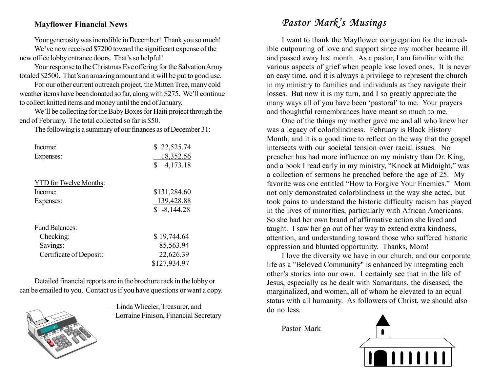### Mayflower Financial News

Your generosity was incredible in December! Thank you so much!

We've now received \$7200 toward the significant expense of the new office lobby entrance doors. That's so helpful!

Your response to the Christmas Eve offering for the Salvation Army totaled \$2500. That's an amazing amount and it will be put to good use.

For our other current outreach project, the Mitten Tree, many cold weather items have been donated so far, along with \$275. We'll continue to collect knitted items and money until the end of January.

We'll be collecting for the Baby Boxes for Haiti project through the end of February. The total collected so far is \$50.

The following is a summary of our finances as of December 31:

| Income:                       | \$22,525.74    |
|-------------------------------|----------------|
| Expenses:                     | 18,352.56      |
|                               | \$<br>4,173.18 |
| <b>YTD</b> for Twelve Months: |                |
|                               |                |
| Income:                       | \$131,284.60   |
| Expenses:                     | 139,428.88     |
|                               | $$-8,144.28$   |
| <b>Fund Balances:</b>         |                |
| Checking:                     | \$19,744.64    |
| Savings:                      | 85,563.94      |
| Certificate of Deposit:       | 22,626.39      |
|                               | \$127,934.97   |

Detailed financial reports are in the brochure rack in the lobby or can be emailed to you. Contact us if you have questions or want a copy.



—Linda Wheeler, Treasurer, and Lorraine Finison, Financial Secretary

## Pastor Mark's Musings

I want to thank the Mayflower congregation for the incredible outpouring of love and support since my mother became ill and passed away last month. As a pastor, I am familiar with the various aspects of grief when people lose loved ones. It is never an easy time, and it is always a privilege to represent the church in my ministry to families and individuals as they navigate their losses. But now it is my turn, and I so greatly appreciate the many ways all of you have been 'pastoral' to me. Your prayers and thoughtful remembrances have meant so much to me.

One of the things my mother gave me and all who knew her was a legacy of colorblindness. February is Black History Month, and it is a good time to reflect on the way that the gospel intersects with our societal tension over racial issues. No preacher has had more influence on my ministry than Dr. King, and a book I read early in my ministry, "Knock at Midnight," was a collection of sermons he preached before the age of 25. My favorite was one entitled "How to Forgive Your Enemies." Mom not only demonstrated colorblindness in the way she acted, but took pains to understand the historic difficulty racism has played in the lives of minorities, particularly with African Americans. So she had her own brand of affirmative action she lived and taught. I saw her go out of her way to extend extra kindness, attention, and understanding toward those who suffered historic oppression and blunted opportunity. Thanks, Mom!

I love the diversity we have in our church, and our corporate life as a "Beloved Community" is enhanced by integrating each other's stories into our own. I certainly see that in the life of Jesus, especially as he dealt with Samaritans, the diseased, the marginalized, and women, all of whom he elevated to an equal status with all humanity. As followers of Christ, we should also do no less.

Pastor Mark